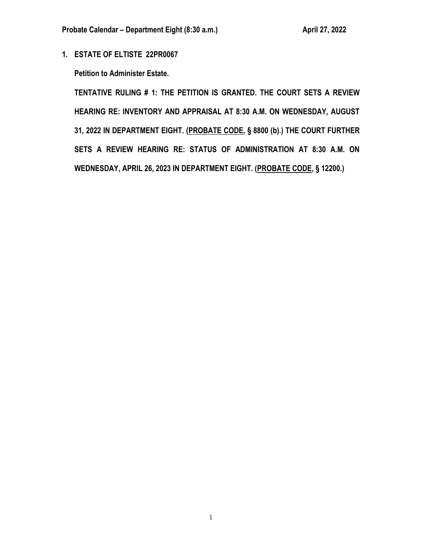**1. ESTATE OF ELTISTE 22PR0067**

**Petition to Administer Estate.**

**TENTATIVE RULING # 1: THE PETITION IS GRANTED. THE COURT SETS A REVIEW HEARING RE: INVENTORY AND APPRAISAL AT 8:30 A.M. ON WEDNESDAY, AUGUST 31, 2022 IN DEPARTMENT EIGHT. (PROBATE CODE, § 8800 (b).) THE COURT FURTHER SETS A REVIEW HEARING RE: STATUS OF ADMINISTRATION AT 8:30 A.M. ON WEDNESDAY, APRIL 26, 2023 IN DEPARTMENT EIGHT. (PROBATE CODE, § 12200.)**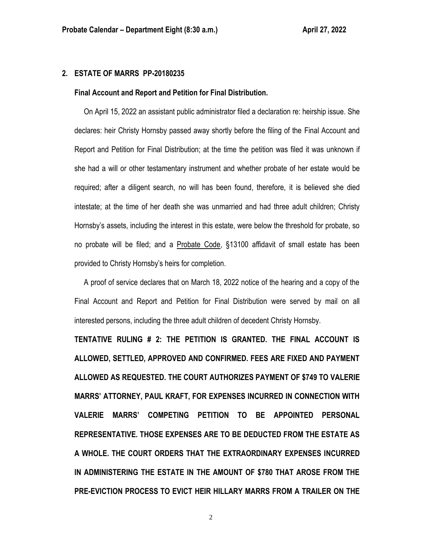## **2. ESTATE OF MARRS PP-20180235**

#### **Final Account and Report and Petition for Final Distribution.**

 On April 15, 2022 an assistant public administrator filed a declaration re: heirship issue. She declares: heir Christy Hornsby passed away shortly before the filing of the Final Account and Report and Petition for Final Distribution; at the time the petition was filed it was unknown if she had a will or other testamentary instrument and whether probate of her estate would be required; after a diligent search, no will has been found, therefore, it is believed she died intestate; at the time of her death she was unmarried and had three adult children; Christy Hornsby's assets, including the interest in this estate, were below the threshold for probate, so no probate will be filed; and a Probate Code, §13100 affidavit of small estate has been provided to Christy Hornsby's heirs for completion.

 A proof of service declares that on March 18, 2022 notice of the hearing and a copy of the Final Account and Report and Petition for Final Distribution were served by mail on all interested persons, including the three adult children of decedent Christy Hornsby.

**TENTATIVE RULING # 2: THE PETITION IS GRANTED. THE FINAL ACCOUNT IS ALLOWED, SETTLED, APPROVED AND CONFIRMED. FEES ARE FIXED AND PAYMENT ALLOWED AS REQUESTED. THE COURT AUTHORIZES PAYMENT OF \$749 TO VALERIE MARRS' ATTORNEY, PAUL KRAFT, FOR EXPENSES INCURRED IN CONNECTION WITH VALERIE MARRS' COMPETING PETITION TO BE APPOINTED PERSONAL REPRESENTATIVE. THOSE EXPENSES ARE TO BE DEDUCTED FROM THE ESTATE AS A WHOLE. THE COURT ORDERS THAT THE EXTRAORDINARY EXPENSES INCURRED IN ADMINISTERING THE ESTATE IN THE AMOUNT OF \$780 THAT AROSE FROM THE PRE-EVICTION PROCESS TO EVICT HEIR HILLARY MARRS FROM A TRAILER ON THE**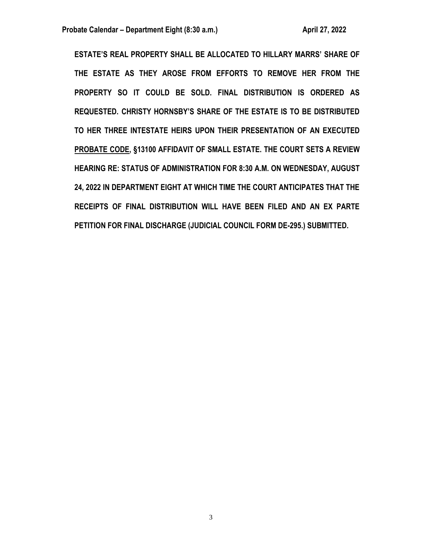**ESTATE'S REAL PROPERTY SHALL BE ALLOCATED TO HILLARY MARRS' SHARE OF THE ESTATE AS THEY AROSE FROM EFFORTS TO REMOVE HER FROM THE PROPERTY SO IT COULD BE SOLD. FINAL DISTRIBUTION IS ORDERED AS REQUESTED. CHRISTY HORNSBY'S SHARE OF THE ESTATE IS TO BE DISTRIBUTED TO HER THREE INTESTATE HEIRS UPON THEIR PRESENTATION OF AN EXECUTED PROBATE CODE, §13100 AFFIDAVIT OF SMALL ESTATE. THE COURT SETS A REVIEW HEARING RE: STATUS OF ADMINISTRATION FOR 8:30 A.M. ON WEDNESDAY, AUGUST 24, 2022 IN DEPARTMENT EIGHT AT WHICH TIME THE COURT ANTICIPATES THAT THE RECEIPTS OF FINAL DISTRIBUTION WILL HAVE BEEN FILED AND AN EX PARTE PETITION FOR FINAL DISCHARGE (JUDICIAL COUNCIL FORM DE-295.) SUBMITTED.**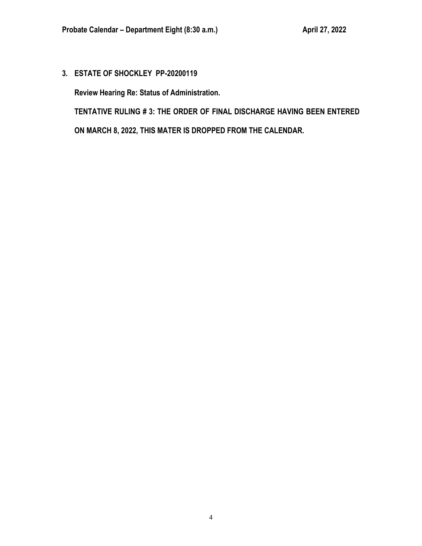**3. ESTATE OF SHOCKLEY PP-20200119**

**Review Hearing Re: Status of Administration.**

**TENTATIVE RULING # 3: THE ORDER OF FINAL DISCHARGE HAVING BEEN ENTERED** 

**ON MARCH 8, 2022, THIS MATER IS DROPPED FROM THE CALENDAR.**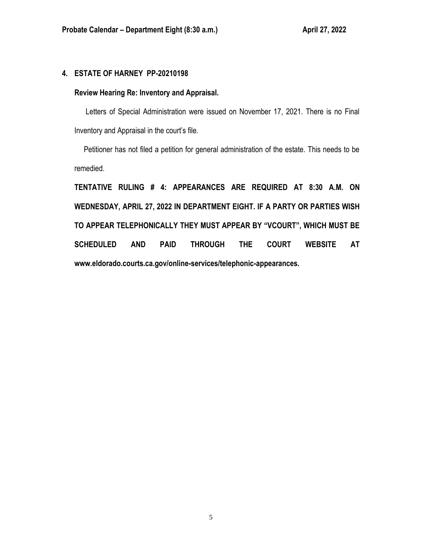# **4. ESTATE OF HARNEY PP-20210198**

## **Review Hearing Re: Inventory and Appraisal.**

 Letters of Special Administration were issued on November 17, 2021. There is no Final Inventory and Appraisal in the court's file.

 Petitioner has not filed a petition for general administration of the estate. This needs to be remedied.

**TENTATIVE RULING # 4: APPEARANCES ARE REQUIRED AT 8:30 A.M. ON WEDNESDAY, APRIL 27, 2022 IN DEPARTMENT EIGHT. IF A PARTY OR PARTIES WISH TO APPEAR TELEPHONICALLY THEY MUST APPEAR BY "VCOURT", WHICH MUST BE SCHEDULED AND PAID THROUGH THE COURT WEBSITE AT www.eldorado.courts.ca.gov/online-services/telephonic-appearances.**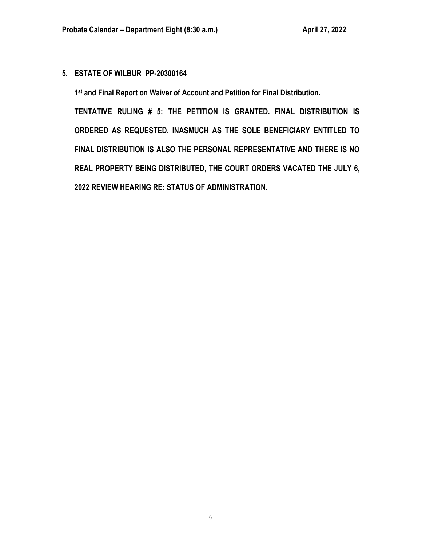# **5. ESTATE OF WILBUR PP-20300164**

**1 st and Final Report on Waiver of Account and Petition for Final Distribution.**

**TENTATIVE RULING # 5: THE PETITION IS GRANTED. FINAL DISTRIBUTION IS ORDERED AS REQUESTED. INASMUCH AS THE SOLE BENEFICIARY ENTITLED TO FINAL DISTRIBUTION IS ALSO THE PERSONAL REPRESENTATIVE AND THERE IS NO REAL PROPERTY BEING DISTRIBUTED, THE COURT ORDERS VACATED THE JULY 6, 2022 REVIEW HEARING RE: STATUS OF ADMINISTRATION.**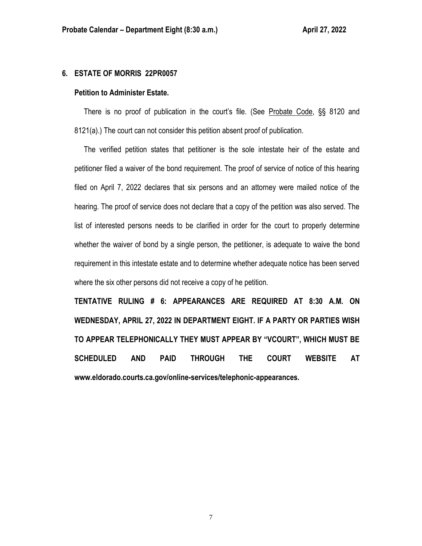### **6. ESTATE OF MORRIS 22PR0057**

#### **Petition to Administer Estate.**

 There is no proof of publication in the court's file. (See Probate Code, §§ 8120 and 8121(a).) The court can not consider this petition absent proof of publication.

 The verified petition states that petitioner is the sole intestate heir of the estate and petitioner filed a waiver of the bond requirement. The proof of service of notice of this hearing filed on April 7, 2022 declares that six persons and an attorney were mailed notice of the hearing. The proof of service does not declare that a copy of the petition was also served. The list of interested persons needs to be clarified in order for the court to properly determine whether the waiver of bond by a single person, the petitioner, is adequate to waive the bond requirement in this intestate estate and to determine whether adequate notice has been served where the six other persons did not receive a copy of he petition.

**TENTATIVE RULING # 6: APPEARANCES ARE REQUIRED AT 8:30 A.M. ON WEDNESDAY, APRIL 27, 2022 IN DEPARTMENT EIGHT. IF A PARTY OR PARTIES WISH TO APPEAR TELEPHONICALLY THEY MUST APPEAR BY "VCOURT", WHICH MUST BE SCHEDULED AND PAID THROUGH THE COURT WEBSITE AT www.eldorado.courts.ca.gov/online-services/telephonic-appearances.**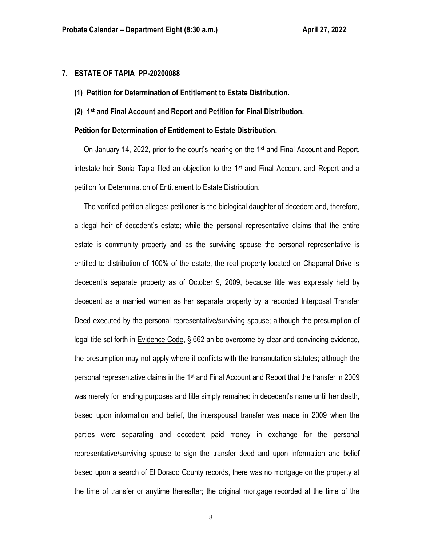## **7. ESTATE OF TAPIA PP-20200088**

- **(1) Petition for Determination of Entitlement to Estate Distribution.**
- **(2) 1 st and Final Account and Report and Petition for Final Distribution.**

#### **Petition for Determination of Entitlement to Estate Distribution.**

 On January 14, 2022, prior to the court's hearing on the 1st and Final Account and Report, intestate heir Sonia Tapia filed an objection to the 1st and Final Account and Report and a petition for Determination of Entitlement to Estate Distribution.

 The verified petition alleges: petitioner is the biological daughter of decedent and, therefore, a ;legal heir of decedent's estate; while the personal representative claims that the entire estate is community property and as the surviving spouse the personal representative is entitled to distribution of 100% of the estate, the real property located on Chaparral Drive is decedent's separate property as of October 9, 2009, because title was expressly held by decedent as a married women as her separate property by a recorded Interposal Transfer Deed executed by the personal representative/surviving spouse; although the presumption of legal title set forth in Evidence Code, § 662 an be overcome by clear and convincing evidence, the presumption may not apply where it conflicts with the transmutation statutes; although the personal representative claims in the 1st and Final Account and Report that the transfer in 2009 was merely for lending purposes and title simply remained in decedent's name until her death, based upon information and belief, the interspousal transfer was made in 2009 when the parties were separating and decedent paid money in exchange for the personal representative/surviving spouse to sign the transfer deed and upon information and belief based upon a search of El Dorado County records, there was no mortgage on the property at the time of transfer or anytime thereafter; the original mortgage recorded at the time of the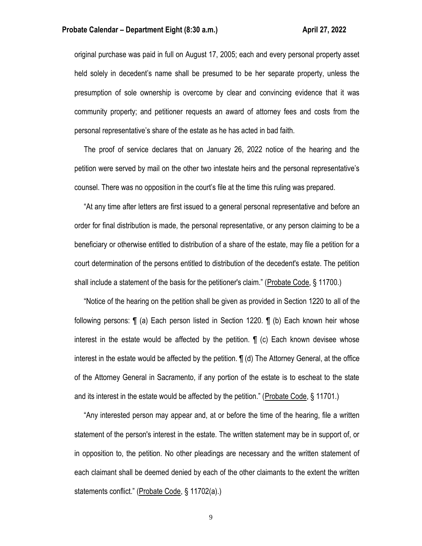#### **Probate Calendar – Department Eight (8:30 a.m.) April 27, 2022**

original purchase was paid in full on August 17, 2005; each and every personal property asset held solely in decedent's name shall be presumed to be her separate property, unless the presumption of sole ownership is overcome by clear and convincing evidence that it was community property; and petitioner requests an award of attorney fees and costs from the personal representative's share of the estate as he has acted in bad faith.

 The proof of service declares that on January 26, 2022 notice of the hearing and the petition were served by mail on the other two intestate heirs and the personal representative's counsel. There was no opposition in the court's file at the time this ruling was prepared.

 "At any time after letters are first issued to a general personal representative and before an order for final distribution is made, the personal representative, or any person claiming to be a beneficiary or otherwise entitled to distribution of a share of the estate, may file a petition for a court determination of the persons entitled to distribution of the decedent's estate. The petition shall include a statement of the basis for the petitioner's claim." (Probate Code, § 11700.)

 "Notice of the hearing on the petition shall be given as provided in Section 1220 to all of the following persons: ¶ (a) Each person listed in Section 1220. ¶ (b) Each known heir whose interest in the estate would be affected by the petition. ¶ (c) Each known devisee whose interest in the estate would be affected by the petition. ¶ (d) The Attorney General, at the office of the Attorney General in Sacramento, if any portion of the estate is to escheat to the state and its interest in the estate would be affected by the petition." (Probate Code, § 11701.)

 "Any interested person may appear and, at or before the time of the hearing, file a written statement of the person's interest in the estate. The written statement may be in support of, or in opposition to, the petition. No other pleadings are necessary and the written statement of each claimant shall be deemed denied by each of the other claimants to the extent the written statements conflict." (Probate Code, § 11702(a).)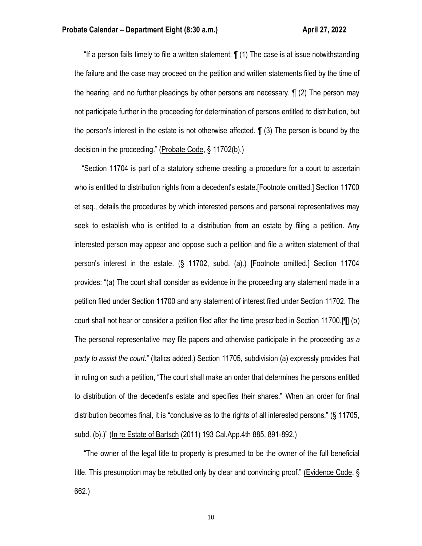"If a person fails timely to file a written statement:  $\P(1)$  The case is at issue notwithstanding the failure and the case may proceed on the petition and written statements filed by the time of the hearing, and no further pleadings by other persons are necessary. ¶ (2) The person may not participate further in the proceeding for determination of persons entitled to distribution, but the person's interest in the estate is not otherwise affected. ¶ (3) The person is bound by the decision in the proceeding." (Probate Code, § 11702(b).)

 "Section 11704 is part of a statutory scheme creating a procedure for a court to ascertain who is entitled to distribution rights from a decedent's estate.[Footnote omitted.] Section 11700 et seq., details the procedures by which interested persons and personal representatives may seek to establish who is entitled to a distribution from an estate by filing a petition. Any interested person may appear and oppose such a petition and file a written statement of that person's interest in the estate. (§ 11702, subd. (a).) [Footnote omitted.] Section 11704 provides: "(a) The court shall consider as evidence in the proceeding any statement made in a petition filed under Section 11700 and any statement of interest filed under Section 11702. The court shall not hear or consider a petition filed after the time prescribed in Section 11700.[¶] (b) The personal representative may file papers and otherwise participate in the proceeding *as a party to assist the court.*" (Italics added.) Section 11705, subdivision (a) expressly provides that in ruling on such a petition, "The court shall make an order that determines the persons entitled to distribution of the decedent's estate and specifies their shares." When an order for final distribution becomes final, it is "conclusive as to the rights of all interested persons." (§ 11705, subd. (b).)" (In re Estate of Bartsch (2011) 193 Cal.App.4th 885, 891-892.)

 "The owner of the legal title to property is presumed to be the owner of the full beneficial title. This presumption may be rebutted only by clear and convincing proof." (Evidence Code, § 662.)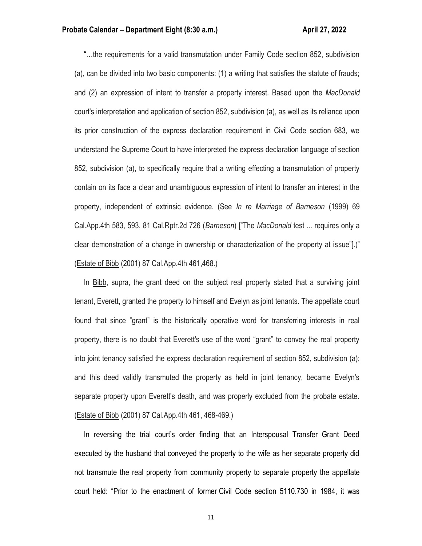"…the requirements for a valid transmutation under Family Code section 852, subdivision (a), can be divided into two basic components: (1) a writing that satisfies the statute of frauds; and (2) an expression of intent to transfer a property interest. Based upon the *MacDonald* court's interpretation and application of section 852, subdivision (a), as well as its reliance upon its prior construction of the express declaration requirement in Civil Code section 683, we understand the Supreme Court to have interpreted the express declaration language of section 852, subdivision (a), to specifically require that a writing effecting a transmutation of property contain on its face a clear and unambiguous expression of intent to transfer an interest in the property, independent of extrinsic evidence. (See *In re Marriage of Barneson* (1999) 69 Cal.App.4th 583, 593, 81 Cal.Rptr.2d 726 (*Barneson*) ["The *MacDonald* test ... requires only a clear demonstration of a change in ownership or characterization of the property at issue"].)" (Estate of Bibb (2001) 87 Cal.App.4th 461,468.)

 In Bibb, supra, the grant deed on the subject real property stated that a surviving joint tenant, Everett, granted the property to himself and Evelyn as joint tenants. The appellate court found that since "grant" is the historically operative word for transferring interests in real property, there is no doubt that Everett's use of the word "grant" to convey the real property into joint tenancy satisfied the express declaration requirement of section 852, subdivision (a); and this deed validly transmuted the property as held in joint tenancy, became Evelyn's separate property upon Everett's death, and was properly excluded from the probate estate. (Estate of Bibb (2001) 87 Cal.App.4th 461, 468-469.)

 In reversing the trial court's order finding that an Interspousal Transfer Grant Deed executed by the husband that conveyed the property to the wife as her separate property did not transmute the real property from community property to separate property the appellate court held: "Prior to the enactment of former Civil Code section 5110.730 in 1984, it was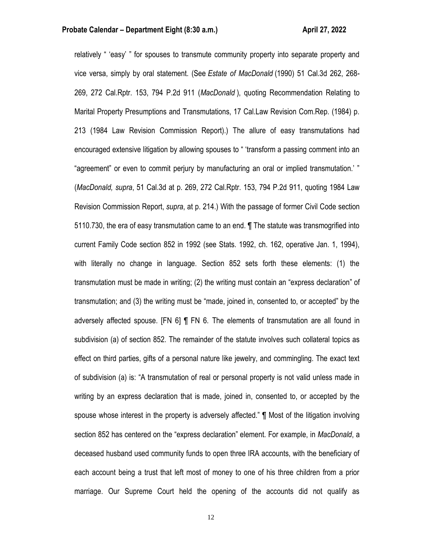relatively " 'easy' " for spouses to transmute community property into separate property and vice versa, simply by oral statement. (See *Estate of MacDonald* (1990) 51 Cal.3d 262, 268- 269, 272 Cal.Rptr. 153, 794 P.2d 911 (*MacDonald* ), quoting Recommendation Relating to Marital Property Presumptions and Transmutations, 17 Cal.Law Revision Com.Rep. (1984) p. 213 (1984 Law Revision Commission Report).) The allure of easy transmutations had encouraged extensive litigation by allowing spouses to " 'transform a passing comment into an "agreement" or even to commit perjury by manufacturing an oral or implied transmutation.' " (*MacDonald, supra*, 51 Cal.3d at p. 269, 272 Cal.Rptr. 153, 794 P.2d 911, quoting 1984 Law Revision Commission Report, *supra*, at p. 214.) With the passage of former Civil Code section 5110.730, the era of easy transmutation came to an end. ¶ The statute was transmogrified into current Family Code section 852 in 1992 (see Stats. 1992, ch. 162, operative Jan. 1, 1994), with literally no change in language. Section 852 sets forth these elements: (1) the transmutation must be made in writing; (2) the writing must contain an "express declaration" of transmutation; and (3) the writing must be "made, joined in, consented to, or accepted" by the adversely affected spouse. [FN 6] ¶ FN 6. The elements of transmutation are all found in subdivision (a) of section 852. The remainder of the statute involves such collateral topics as effect on third parties, gifts of a personal nature like jewelry, and commingling. The exact text of subdivision (a) is: "A transmutation of real or personal property is not valid unless made in writing by an express declaration that is made, joined in, consented to, or accepted by the spouse whose interest in the property is adversely affected." ¶ Most of the litigation involving section 852 has centered on the "express declaration" element. For example, in *MacDonald*, a deceased husband used community funds to open three IRA accounts, with the beneficiary of each account being a trust that left most of money to one of his three children from a prior marriage. Our Supreme Court held the opening of the accounts did not qualify as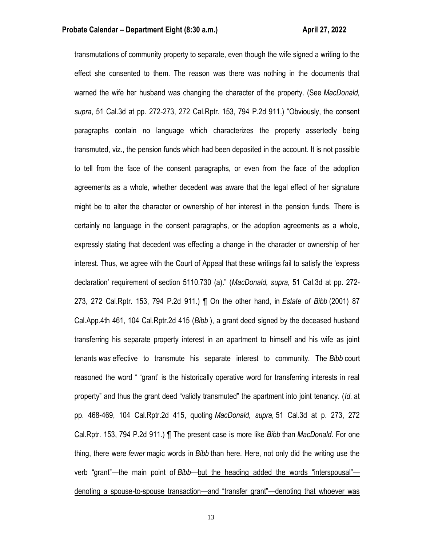transmutations of community property to separate, even though the wife signed a writing to the effect she consented to them. The reason was there was nothing in the documents that warned the wife her husband was changing the character of the property. (See *MacDonald, supra*, 51 Cal.3d at pp. 272-273, 272 Cal.Rptr. 153, 794 P.2d 911.) "Obviously, the consent paragraphs contain no language which characterizes the property assertedly being transmuted, viz., the pension funds which had been deposited in the account. It is not possible to tell from the face of the consent paragraphs, or even from the face of the adoption agreements as a whole, whether decedent was aware that the legal effect of her signature might be to alter the character or ownership of her interest in the pension funds. There is certainly no language in the consent paragraphs, or the adoption agreements as a whole, expressly stating that decedent was effecting a change in the character or ownership of her interest. Thus, we agree with the Court of Appeal that these writings fail to satisfy the 'express declaration' requirement of section 5110.730 (a)." (*MacDonald, supra*, 51 Cal.3d at pp. 272- 273, 272 Cal.Rptr. 153, 794 P.2d 911.) ¶ On the other hand, in *Estate of Bibb* (2001) 87 Cal.App.4th 461, 104 Cal.Rptr.2d 415 (*Bibb* ), a grant deed signed by the deceased husband transferring his separate property interest in an apartment to himself and his wife as joint tenants *was* effective to transmute his separate interest to community. The *Bibb* court reasoned the word " 'grant' is the historically operative word for transferring interests in real property" and thus the grant deed "validly transmuted" the apartment into joint tenancy. (*Id.* at pp. 468-469, 104 Cal.Rptr.2d 415, quoting *MacDonald, supra,* 51 Cal.3d at p. 273, 272 Cal.Rptr. 153, 794 P.2d 911.) ¶ The present case is more like *Bibb* than *MacDonald*. For one thing, there were *fewer* magic words in *Bibb* than here. Here, not only did the writing use the verb "grant"—the main point of *Bibb*—but the heading added the words "interspousal" denoting a spouse-to-spouse transaction—and "transfer grant"—denoting that whoever was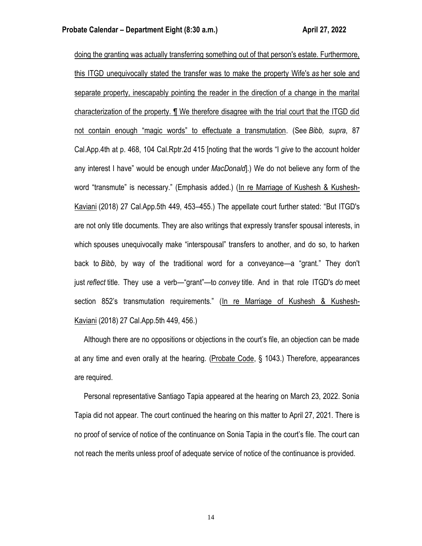doing the granting was actually transferring something out of that person's estate. Furthermore, this ITGD unequivocally stated the transfer was to make the property Wife's *as* her sole and separate property, inescapably pointing the reader in the direction of a change in the marital characterization of the property. ¶ We therefore disagree with the trial court that the ITGD did not contain enough "magic words" to effectuate a transmutation. (See *Bibb, supra*, 87 Cal.App.4th at p. 468, 104 Cal.Rptr.2d 415 [noting that the words "I *give* to the account holder any interest I have" would be enough under *MacDonald*].) We do not believe any form of the word "transmute" is necessary." (Emphasis added.) (In re Marriage of Kushesh & Kushesh-Kaviani (2018) 27 Cal.App.5th 449, 453–455.) The appellate court further stated: "But ITGD's are not only title documents. They are also writings that expressly transfer spousal interests, in which spouses unequivocally make "interspousal" transfers to another, and do so, to harken back to *Bibb*, by way of the traditional word for a conveyance—a "grant." They don't just *reflect* title. They use a verb—"grant"—to *convey* title. And in that role ITGD's *do* meet section 852's transmutation requirements." (In re Marriage of Kushesh & Kushesh-Kaviani (2018) 27 Cal.App.5th 449, 456.)

 Although there are no oppositions or objections in the court's file, an objection can be made at any time and even orally at the hearing. (Probate Code, § 1043.) Therefore, appearances are required.

 Personal representative Santiago Tapia appeared at the hearing on March 23, 2022. Sonia Tapia did not appear. The court continued the hearing on this matter to April 27, 2021. There is no proof of service of notice of the continuance on Sonia Tapia in the court's file. The court can not reach the merits unless proof of adequate service of notice of the continuance is provided.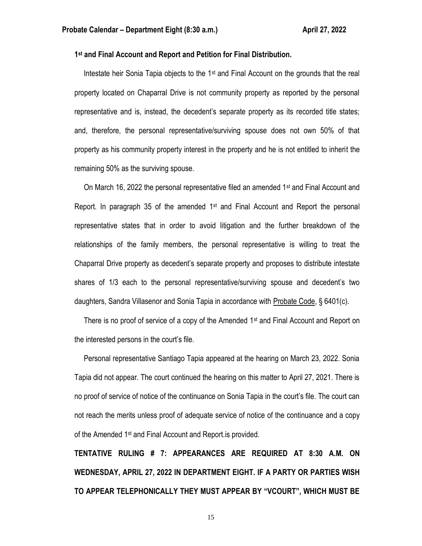#### **1 st and Final Account and Report and Petition for Final Distribution.**

 Intestate heir Sonia Tapia objects to the 1st and Final Account on the grounds that the real property located on Chaparral Drive is not community property as reported by the personal representative and is, instead, the decedent's separate property as its recorded title states; and, therefore, the personal representative/surviving spouse does not own 50% of that property as his community property interest in the property and he is not entitled to inherit the remaining 50% as the surviving spouse.

On March 16, 2022 the personal representative filed an amended  $1<sup>st</sup>$  and Final Account and Report. In paragraph 35 of the amended  $1<sup>st</sup>$  and Final Account and Report the personal representative states that in order to avoid litigation and the further breakdown of the relationships of the family members, the personal representative is willing to treat the Chaparral Drive property as decedent's separate property and proposes to distribute intestate shares of 1/3 each to the personal representative/surviving spouse and decedent's two daughters, Sandra Villasenor and Sonia Tapia in accordance with Probate Code, § 6401(c).

There is no proof of service of a copy of the Amended 1<sup>st</sup> and Final Account and Report on the interested persons in the court's file.

 Personal representative Santiago Tapia appeared at the hearing on March 23, 2022. Sonia Tapia did not appear. The court continued the hearing on this matter to April 27, 2021. There is no proof of service of notice of the continuance on Sonia Tapia in the court's file. The court can not reach the merits unless proof of adequate service of notice of the continuance and a copy of the Amended 1st and Final Account and Report.is provided.

**TENTATIVE RULING # 7: APPEARANCES ARE REQUIRED AT 8:30 A.M. ON WEDNESDAY, APRIL 27, 2022 IN DEPARTMENT EIGHT. IF A PARTY OR PARTIES WISH TO APPEAR TELEPHONICALLY THEY MUST APPEAR BY "VCOURT", WHICH MUST BE**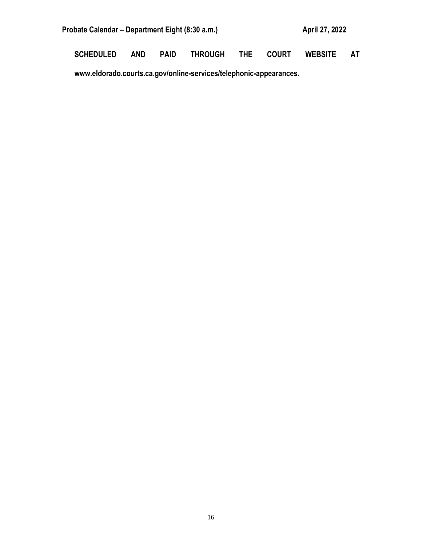| Probate Calendar – Department Eight (8:30 a.m.) | April 27, 2022 |
|-------------------------------------------------|----------------|
|                                                 |                |

**SCHEDULED AND PAID THROUGH THE COURT WEBSITE AT** 

**www.eldorado.courts.ca.gov/online-services/telephonic-appearances.**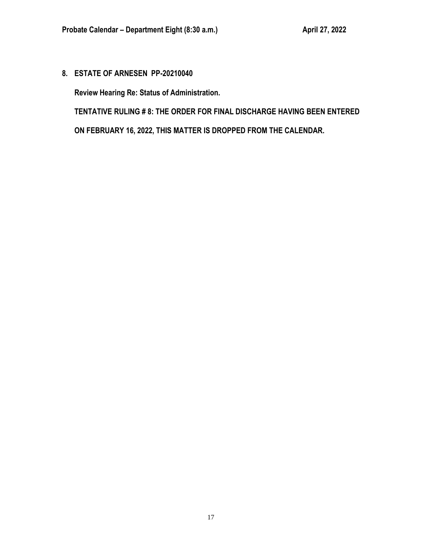**8. ESTATE OF ARNESEN PP-20210040**

**Review Hearing Re: Status of Administration.**

**TENTATIVE RULING # 8: THE ORDER FOR FINAL DISCHARGE HAVING BEEN ENTERED ON FEBRUARY 16, 2022, THIS MATTER IS DROPPED FROM THE CALENDAR.**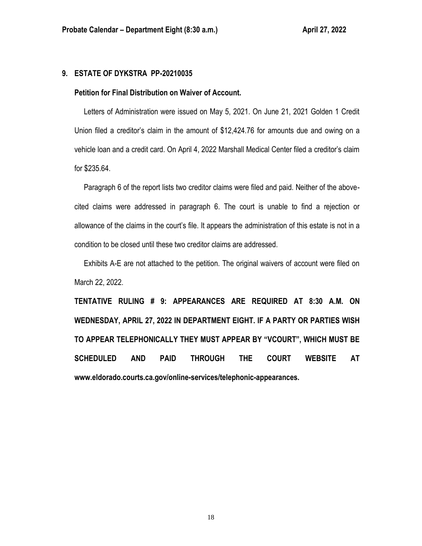## **9. ESTATE OF DYKSTRA PP-20210035**

### **Petition for Final Distribution on Waiver of Account.**

 Letters of Administration were issued on May 5, 2021. On June 21, 2021 Golden 1 Credit Union filed a creditor's claim in the amount of \$12,424.76 for amounts due and owing on a vehicle loan and a credit card. On April 4, 2022 Marshall Medical Center filed a creditor's claim for \$235.64.

 Paragraph 6 of the report lists two creditor claims were filed and paid. Neither of the abovecited claims were addressed in paragraph 6. The court is unable to find a rejection or allowance of the claims in the court's file. It appears the administration of this estate is not in a condition to be closed until these two creditor claims are addressed.

 Exhibits A-E are not attached to the petition. The original waivers of account were filed on March 22, 2022.

**TENTATIVE RULING # 9: APPEARANCES ARE REQUIRED AT 8:30 A.M. ON WEDNESDAY, APRIL 27, 2022 IN DEPARTMENT EIGHT. IF A PARTY OR PARTIES WISH TO APPEAR TELEPHONICALLY THEY MUST APPEAR BY "VCOURT", WHICH MUST BE SCHEDULED AND PAID THROUGH THE COURT WEBSITE AT www.eldorado.courts.ca.gov/online-services/telephonic-appearances.**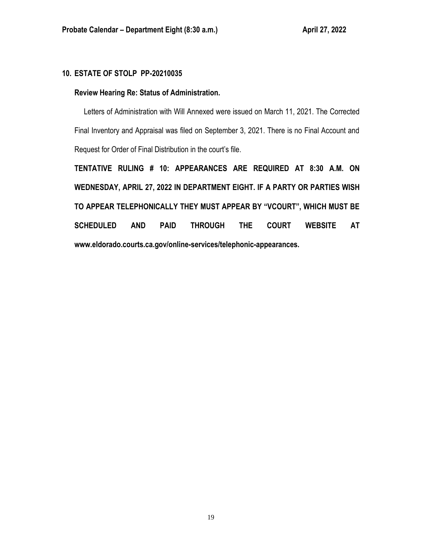# **10. ESTATE OF STOLP PP-20210035**

## **Review Hearing Re: Status of Administration.**

 Letters of Administration with Will Annexed were issued on March 11, 2021. The Corrected Final Inventory and Appraisal was filed on September 3, 2021. There is no Final Account and Request for Order of Final Distribution in the court's file.

**TENTATIVE RULING # 10: APPEARANCES ARE REQUIRED AT 8:30 A.M. ON WEDNESDAY, APRIL 27, 2022 IN DEPARTMENT EIGHT. IF A PARTY OR PARTIES WISH TO APPEAR TELEPHONICALLY THEY MUST APPEAR BY "VCOURT", WHICH MUST BE SCHEDULED AND PAID THROUGH THE COURT WEBSITE AT www.eldorado.courts.ca.gov/online-services/telephonic-appearances.**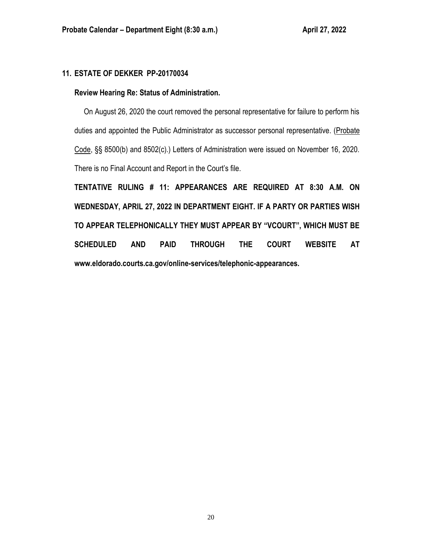# **11. ESTATE OF DEKKER PP-20170034**

## **Review Hearing Re: Status of Administration.**

 On August 26, 2020 the court removed the personal representative for failure to perform his duties and appointed the Public Administrator as successor personal representative. (Probate Code, §§ 8500(b) and 8502(c).) Letters of Administration were issued on November 16, 2020. There is no Final Account and Report in the Court's file.

**TENTATIVE RULING # 11: APPEARANCES ARE REQUIRED AT 8:30 A.M. ON WEDNESDAY, APRIL 27, 2022 IN DEPARTMENT EIGHT. IF A PARTY OR PARTIES WISH TO APPEAR TELEPHONICALLY THEY MUST APPEAR BY "VCOURT", WHICH MUST BE SCHEDULED AND PAID THROUGH THE COURT WEBSITE AT www.eldorado.courts.ca.gov/online-services/telephonic-appearances.**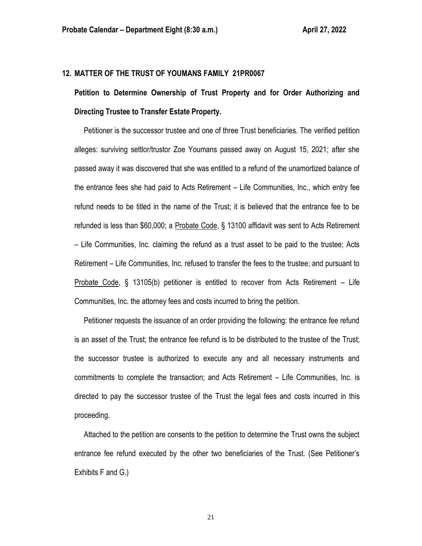## **12. MATTER OF THE TRUST OF YOUMANS FAMILY 21PR0067**

**Petition to Determine Ownership of Trust Property and for Order Authorizing and Directing Trustee to Transfer Estate Property.**

 Petitioner is the successor trustee and one of three Trust beneficiaries. The verified petition alleges: surviving settlor/trustor Zoe Youmans passed away on August 15, 2021; after she passed away it was discovered that she was entitled to a refund of the unamortized balance of the entrance fees she had paid to Acts Retirement – Life Communities, Inc., which entry fee refund needs to be titled in the name of the Trust; it is believed that the entrance fee to be refunded is less than \$60,000; a Probate Code, § 13100 affidavit was sent to Acts Retirement – Life Communities, Inc. claiming the refund as a trust asset to be paid to the trustee; Acts Retirement – Life Communities, Inc. refused to transfer the fees to the trustee; and pursuant to Probate Code, § 13105(b) petitioner is entitled to recover from Acts Retirement – Life Communities, Inc. the attorney fees and costs incurred to bring the petition.

 Petitioner requests the issuance of an order providing the following: the entrance fee refund is an asset of the Trust; the entrance fee refund is to be distributed to the trustee of the Trust; the successor trustee is authorized to execute any and all necessary instruments and commitments to complete the transaction; and Acts Retirement – Life Communities, Inc. is directed to pay the successor trustee of the Trust the legal fees and costs incurred in this proceeding.

 Attached to the petition are consents to the petition to determine the Trust owns the subject entrance fee refund executed by the other two beneficiaries of the Trust. (See Petitioner's Exhibits F and G.)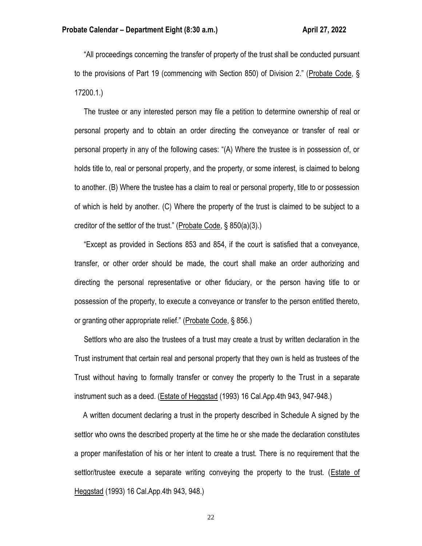"All proceedings concerning the transfer of property of the trust shall be conducted pursuant to the provisions of Part 19 (commencing with Section 850) of Division 2." (Probate Code, § 17200.1.)

 The trustee or any interested person may file a petition to determine ownership of real or personal property and to obtain an order directing the conveyance or transfer of real or personal property in any of the following cases: "(A) Where the trustee is in possession of, or holds title to, real or personal property, and the property, or some interest, is claimed to belong to another. (B) Where the trustee has a claim to real or personal property, title to or possession of which is held by another. (C) Where the property of the trust is claimed to be subject to a creditor of the settlor of the trust." (Probate Code, § 850(a)(3).)

 "Except as provided in Sections 853 and 854, if the court is satisfied that a conveyance, transfer, or other order should be made, the court shall make an order authorizing and directing the personal representative or other fiduciary, or the person having title to or possession of the property, to execute a conveyance or transfer to the person entitled thereto, or granting other appropriate relief." (Probate Code, § 856.)

 Settlors who are also the trustees of a trust may create a trust by written declaration in the Trust instrument that certain real and personal property that they own is held as trustees of the Trust without having to formally transfer or convey the property to the Trust in a separate instrument such as a deed. (Estate of Heggstad (1993) 16 Cal.App.4th 943, 947-948.)

 A written document declaring a trust in the property described in Schedule A signed by the settlor who owns the described property at the time he or she made the declaration constitutes a proper manifestation of his or her intent to create a trust. There is no requirement that the settlor/trustee execute a separate writing conveying the property to the trust. (Estate of Heggstad (1993) 16 Cal.App.4th 943, 948.)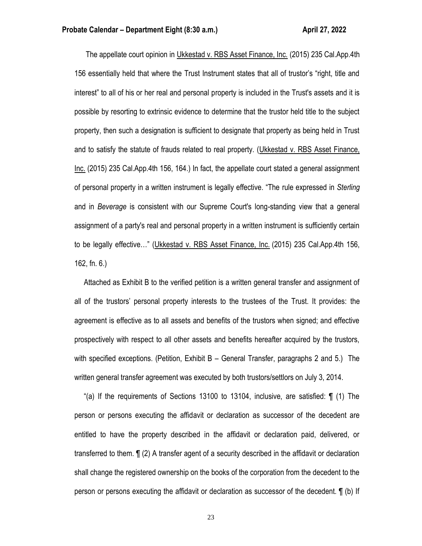The appellate court opinion in Ukkestad v. RBS Asset Finance, Inc. (2015) 235 Cal.App.4th 156 essentially held that where the Trust Instrument states that all of trustor's "right, title and interest" to all of his or her real and personal property is included in the Trust's assets and it is possible by resorting to extrinsic evidence to determine that the trustor held title to the subject property, then such a designation is sufficient to designate that property as being held in Trust and to satisfy the statute of frauds related to real property. (Ukkestad v. RBS Asset Finance, Inc. (2015) 235 Cal.App.4th 156, 164.) In fact, the appellate court stated a general assignment of personal property in a written instrument is legally effective. "The rule expressed in *Sterling* and in *Beverage* is consistent with our Supreme Court's long-standing view that a general assignment of a party's real and personal property in a written instrument is sufficiently certain to be legally effective…" (Ukkestad v. RBS Asset Finance, Inc. (2015) 235 Cal.App.4th 156, 162, fn. 6.)

 Attached as Exhibit B to the verified petition is a written general transfer and assignment of all of the trustors' personal property interests to the trustees of the Trust. It provides: the agreement is effective as to all assets and benefits of the trustors when signed; and effective prospectively with respect to all other assets and benefits hereafter acquired by the trustors, with specified exceptions. (Petition, Exhibit B – General Transfer, paragraphs 2 and 5.) The written general transfer agreement was executed by both trustors/settlors on July 3, 2014.

 "(a) If the requirements of Sections 13100 to 13104, inclusive, are satisfied: ¶ (1) The person or persons executing the affidavit or declaration as successor of the decedent are entitled to have the property described in the affidavit or declaration paid, delivered, or transferred to them. ¶ (2) A transfer agent of a security described in the affidavit or declaration shall change the registered ownership on the books of the corporation from the decedent to the person or persons executing the affidavit or declaration as successor of the decedent. ¶ (b) If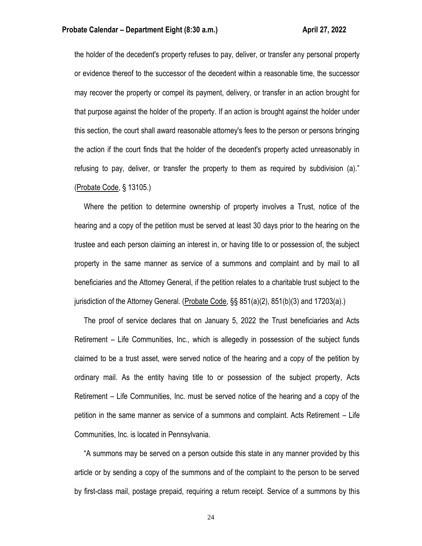the holder of the decedent's property refuses to pay, deliver, or transfer any personal property or evidence thereof to the successor of the decedent within a reasonable time, the successor may recover the property or compel its payment, delivery, or transfer in an action brought for that purpose against the holder of the property. If an action is brought against the holder under this section, the court shall award reasonable attorney's fees to the person or persons bringing the action if the court finds that the holder of the decedent's property acted unreasonably in refusing to pay, deliver, or transfer the property to them as required by subdivision (a)." (Probate Code, § 13105.)

 Where the petition to determine ownership of property involves a Trust, notice of the hearing and a copy of the petition must be served at least 30 days prior to the hearing on the trustee and each person claiming an interest in, or having title to or possession of, the subject property in the same manner as service of a summons and complaint and by mail to all beneficiaries and the Attorney General, if the petition relates to a charitable trust subject to the jurisdiction of the Attorney General. (Probate Code, §§ 851(a)(2), 851(b)(3) and 17203(a).)

 The proof of service declares that on January 5, 2022 the Trust beneficiaries and Acts Retirement – Life Communities, Inc., which is allegedly in possession of the subject funds claimed to be a trust asset, were served notice of the hearing and a copy of the petition by ordinary mail. As the entity having title to or possession of the subject property, Acts Retirement – Life Communities, Inc. must be served notice of the hearing and a copy of the petition in the same manner as service of a summons and complaint. Acts Retirement – Life Communities, Inc. is located in Pennsylvania.

 "A summons may be served on a person outside this state in any manner provided by this article or by sending a copy of the summons and of the complaint to the person to be served by first-class mail, postage prepaid, requiring a return receipt. Service of a summons by this